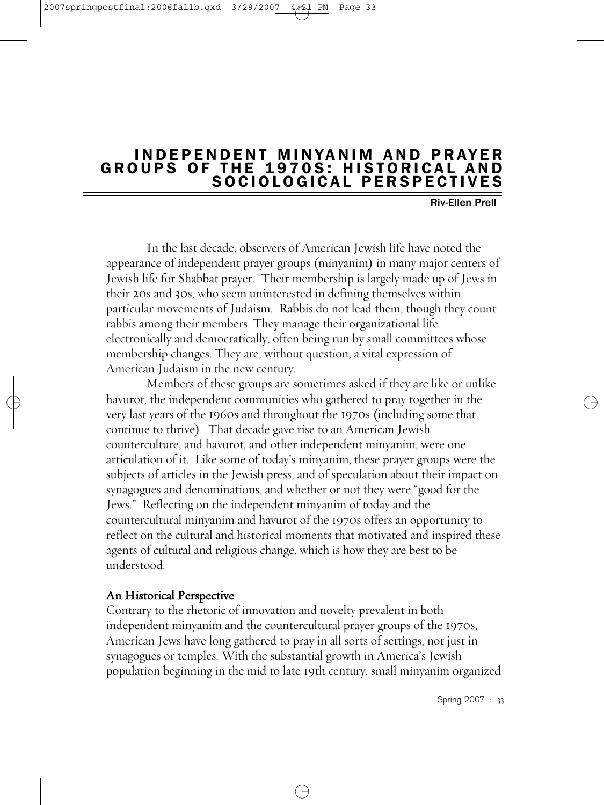#### 2007springpostfinal:2006fallb.qxd

# INDEPENDENT MINYANIM AND PRAYER GROUPS OF THE 1970S: HISTORICAL AND SOCIOLOGICAL PERSPECTIVES

Riv-Ellen Prell .

In the last decade, observers of American Jewish life have noted the appearance of independent prayer groups (minyanim) in many major centers of Jewish life for Shabbat prayer. Their membership is largely made up of Jews in their 20s and 30s, who seem uninterested in defining themselves within particular movements of Judaism. Rabbis do not lead them, though they count rabbis among their members. They manage their organizational life electronically and democratically, often being run by small committees whose membership changes. They are, without question, a vital expression of American Judaism in the new century.

Members of these groups are sometimes asked if they are like or unlike havurot, the independent communities who gathered to pray together in the very last years of the 1960s and throughout the 1970s (including some that continue to thrive). That decade gave rise to an American Jewish counterculture, and havurot, and other independent minyanim, were one articulation of it. Like some of today's minyanim, these prayer groups were the subjects of articles in the Jewish press, and of speculation about their impact on synagogues and denominations, and whether or not they were "good for the Jews." Reflecting on the independent minyanim of today and the countercultural minyanim and havurot of the 1970s offers an opportunity to reflect on the cultural and historical moments that motivated and inspired these agents of cultural and religious change, which is how they are best to be understood.

## An Historical Perspective

Contrary to the rhetoric of innovation and novelty prevalent in both independent minyanim and the countercultural prayer groups of the 1970s, American Jews have long gathered to pray in all sorts of settings, not just in synagogues or temples. With the substantial growth in America's Jewish population beginning in the mid to late 19th century, small minyanim organized

Spring 2007 · 33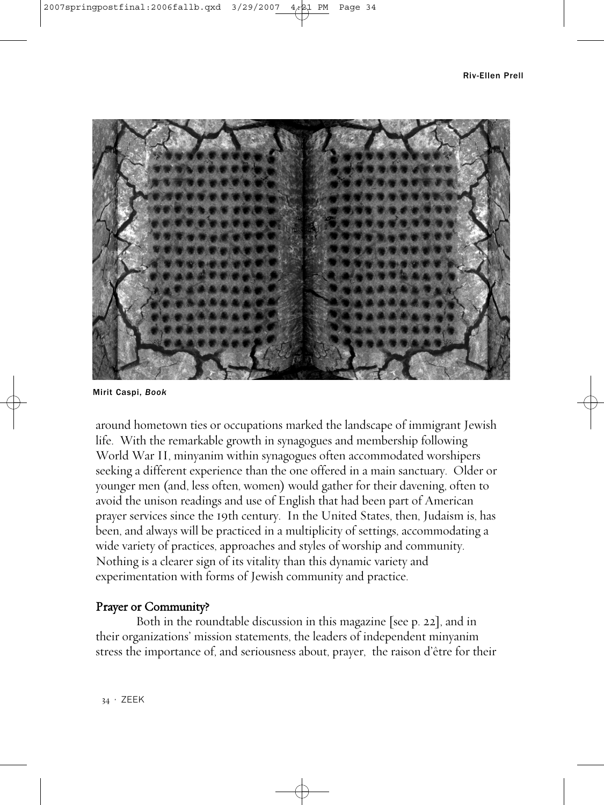Riv-Ellen Prell



Mirit Caspi, *Book*

around hometown ties or occupations marked the landscape of immigrant Jewish life. With the remarkable growth in synagogues and membership following World War II, minyanim within synagogues often accommodated worshipers seeking a different experience than the one offered in a main sanctuary. Older or younger men (and, less often, women) would gather for their davening, often to avoid the unison readings and use of English that had been part of American prayer services since the 19th century. In the United States, then, Judaism is, has been, and always will be practiced in a multiplicity of settings, accommodating a wide variety of practices, approaches and styles of worship and community. Nothing is a clearer sign of its vitality than this dynamic variety and experimentation with forms of Jewish community and practice.

## Prayer or Community?

Both in the roundtable discussion in this magazine [see p. 22], and in their organizations' mission statements, the leaders of independent minyanim stress the importance of, and seriousness about, prayer, the raison d'être for their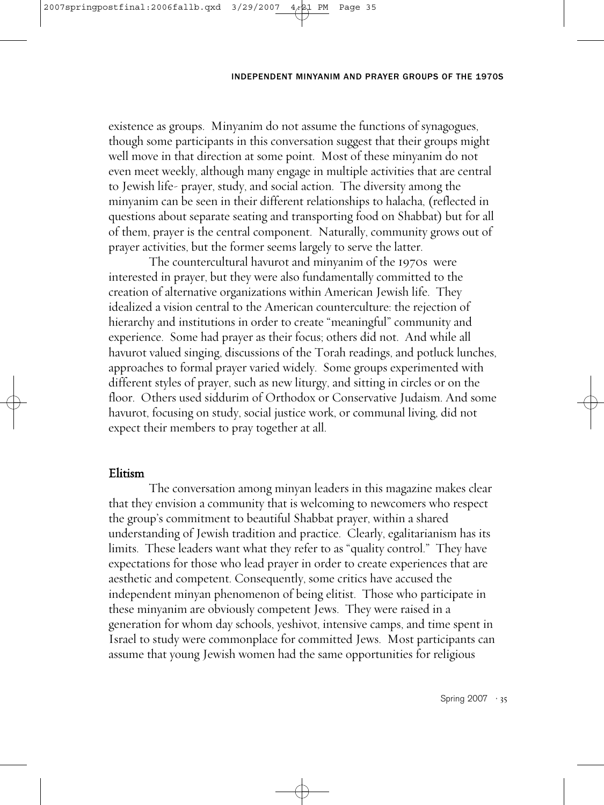## INDEPENDENT MINYANIM AND PRAYER GROUPS OF THE 1970S

existence as groups. Minyanim do not assume the functions of synagogues, though some participants in this conversation suggest that their groups might well move in that direction at some point. Most of these minyanim do not even meet weekly, although many engage in multiple activities that are central to Jewish life- prayer, study, and social action. The diversity among the minyanim can be seen in their different relationships to halacha, (reflected in questions about separate seating and transporting food on Shabbat) but for all of them, prayer is the central component. Naturally, community grows out of prayer activities, but the former seems largely to serve the latter.

The countercultural havurot and minyanim of the 1970s were interested in prayer, but they were also fundamentally committed to the creation of alternative organizations within American Jewish life. They idealized a vision central to the American counterculture: the rejection of hierarchy and institutions in order to create "meaningful" community and experience. Some had prayer as their focus; others did not. And while all havurot valued singing, discussions of the Torah readings, and potluck lunches, approaches to formal prayer varied widely. Some groups experimented with different styles of prayer, such as new liturgy, and sitting in circles or on the floor. Others used siddurim of Orthodox or Conservative Judaism. And some havurot, focusing on study, social justice work, or communal living, did not expect their members to pray together at all.

## Elitism

The conversation among minyan leaders in this magazine makes clear that they envision a community that is welcoming to newcomers who respect the group's commitment to beautiful Shabbat prayer, within a shared understanding of Jewish tradition and practice. Clearly, egalitarianism has its limits. These leaders want what they refer to as "quality control." They have expectations for those who lead prayer in order to create experiences that are aesthetic and competent. Consequently, some critics have accused the independent minyan phenomenon of being elitist. Those who participate in these minyanim are obviously competent Jews. They were raised in a generation for whom day schools, yeshivot, intensive camps, and time spent in Israel to study were commonplace for committed Jews. Most participants can assume that young Jewish women had the same opportunities for religious

Spring 2007 · 35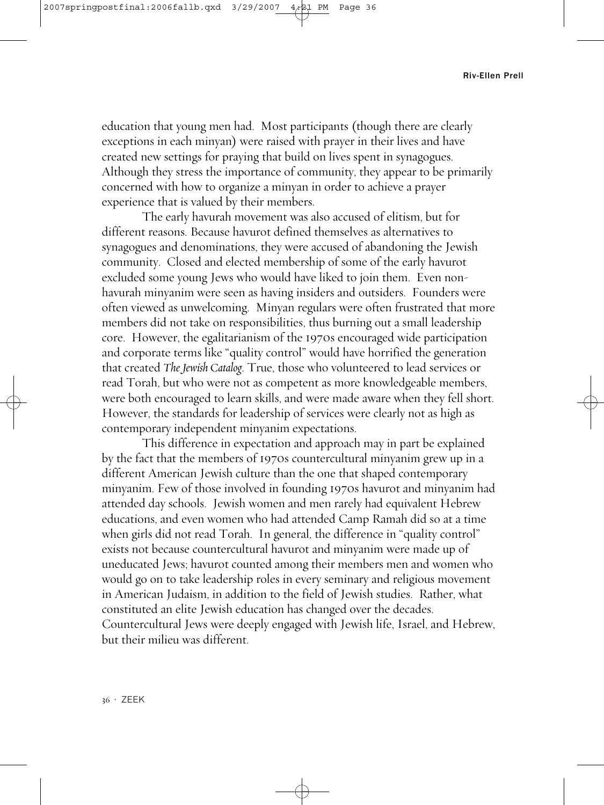#### Riv-Ellen Prell

education that young men had. Most participants (though there are clearly exceptions in each minyan) were raised with prayer in their lives and have created new settings for praying that build on lives spent in synagogues. Although they stress the importance of community, they appear to be primarily concerned with how to organize a minyan in order to achieve a prayer experience that is valued by their members.

The early havurah movement was also accused of elitism, but for different reasons. Because havurot defined themselves as alternatives to synagogues and denominations, they were accused of abandoning the Jewish community. Closed and elected membership of some of the early havurot excluded some young Jews who would have liked to join them. Even nonhavurah minyanim were seen as having insiders and outsiders. Founders were often viewed as unwelcoming. Minyan regulars were often frustrated that more members did not take on responsibilities, thus burning out a small leadership core. However, the egalitarianism of the 1970s encouraged wide participation and corporate terms like "quality control" would have horrified the generation that created *The Jewish Catalog*. True, those who volunteered to lead services or read Torah, but who were not as competent as more knowledgeable members, were both encouraged to learn skills, and were made aware when they fell short. However, the standards for leadership of services were clearly not as high as contemporary independent minyanim expectations.

This difference in expectation and approach may in part be explained by the fact that the members of 1970s countercultural minyanim grew up in a different American Jewish culture than the one that shaped contemporary minyanim. Few of those involved in founding 1970s havurot and minyanim had attended day schools. Jewish women and men rarely had equivalent Hebrew educations, and even women who had attended Camp Ramah did so at a time when girls did not read Torah. In general, the difference in "quality control" exists not because countercultural havurot and minyanim were made up of uneducated Jews; havurot counted among their members men and women who would go on to take leadership roles in every seminary and religious movement in American Judaism, in addition to the field of Jewish studies. Rather, what constituted an elite Jewish education has changed over the decades. Countercultural Jews were deeply engaged with Jewish life, Israel, and Hebrew, but their milieu was different.

36 · ZEEK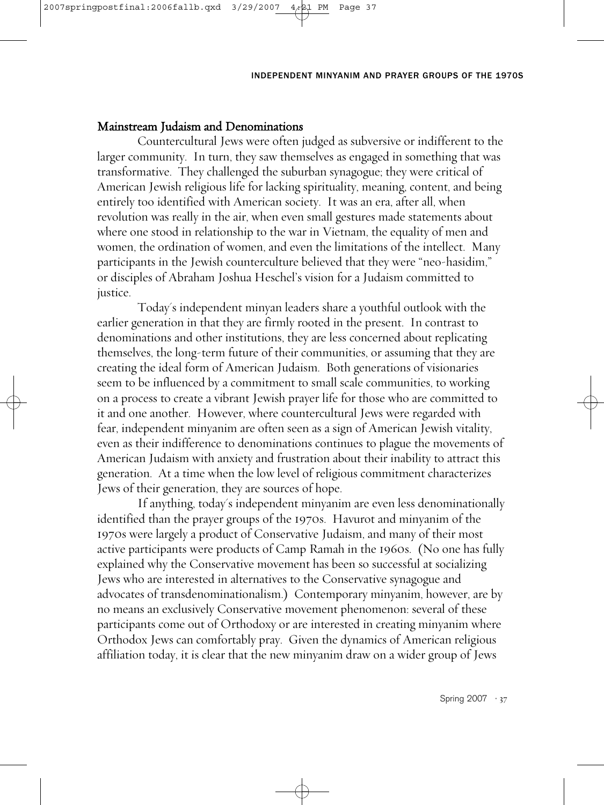### INDEPENDENT MINYANIM AND PRAYER GROUPS OF THE 1970S

## Mainstream Judaism and Denominations

Countercultural Jews were often judged as subversive or indifferent to the larger community. In turn, they saw themselves as engaged in something that was transformative. They challenged the suburban synagogue; they were critical of American Jewish religious life for lacking spirituality, meaning, content, and being entirely too identified with American society. It was an era, after all, when revolution was really in the air, when even small gestures made statements about where one stood in relationship to the war in Vietnam, the equality of men and women, the ordination of women, and even the limitations of the intellect. Many participants in the Jewish counterculture believed that they were "neo-hasidim," or disciples of Abraham Joshua Heschel's vision for a Judaism committed to justice.

Today's independent minyan leaders share a youthful outlook with the earlier generation in that they are firmly rooted in the present. In contrast to denominations and other institutions, they are less concerned about replicating themselves, the long-term future of their communities, or assuming that they are creating the ideal form of American Judaism. Both generations of visionaries seem to be influenced by a commitment to small scale communities, to working on a process to create a vibrant Jewish prayer life for those who are committed to it and one another. However, where countercultural Jews were regarded with fear, independent minyanim are often seen as a sign of American Jewish vitality, even as their indifference to denominations continues to plague the movements of American Judaism with anxiety and frustration about their inability to attract this generation. At a time when the low level of religious commitment characterizes Jews of their generation, they are sources of hope.

If anything, today's independent minyanim are even less denominationally identified than the prayer groups of the 1970s. Havurot and minyanim of the 1970s were largely a product of Conservative Judaism, and many of their most active participants were products of Camp Ramah in the 1960s. (No one has fully explained why the Conservative movement has been so successful at socializing Jews who are interested in alternatives to the Conservative synagogue and advocates of transdenominationalism.) Contemporary minyanim, however, are by no means an exclusively Conservative movement phenomenon: several of these participants come out of Orthodoxy or are interested in creating minyanim where Orthodox Jews can comfortably pray. Given the dynamics of American religious affiliation today, it is clear that the new minyanim draw on a wider group of Jews

Spring 2007 · 37